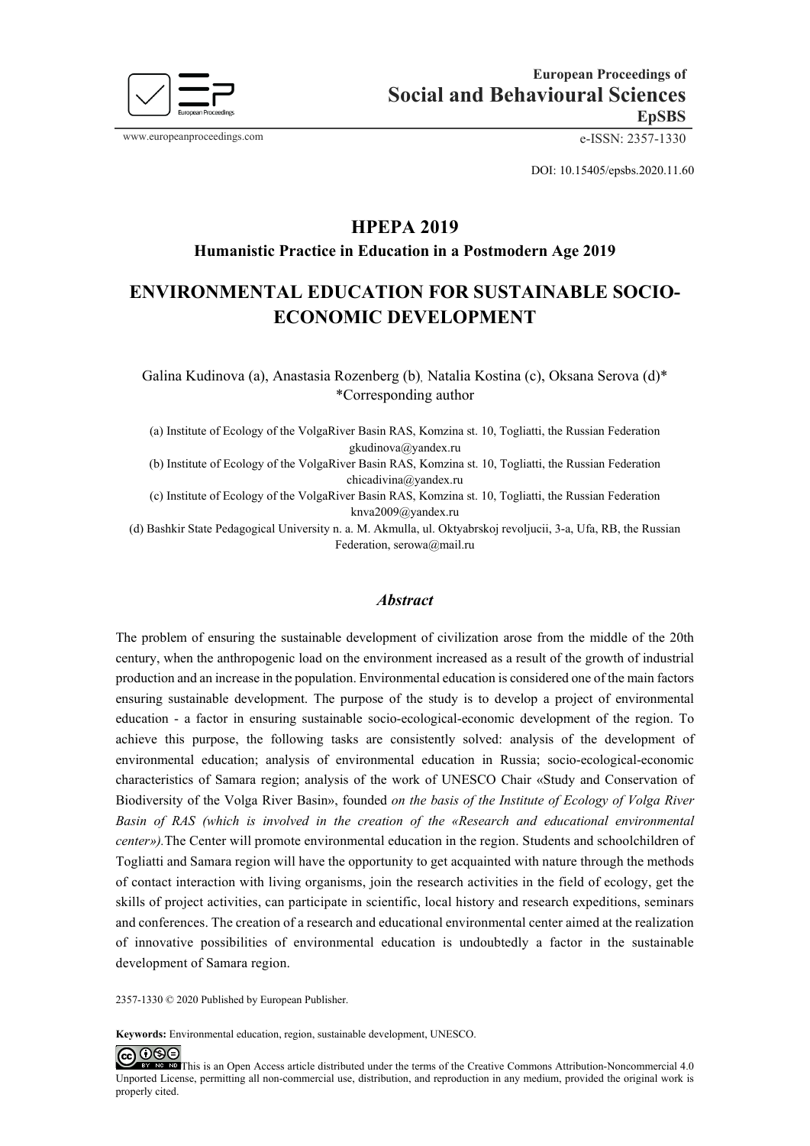

DOI: 10.15405/epsbs.2020.11.60

# **HPEPA 2019**

## **Humanistic Practice in Education in a Postmodern Age 2019**

# **ENVIRONMENTAL EDUCATION FOR SUSTAINABLE SOCIO-ECONOMIC DEVELOPMENT**

Galina Kudinova (a), Anastasia Rozenberg (b), Natalia Kostina (c), Oksana Serova (d)\* \*Corresponding author

(a) Institute of Ecology of the VolgaRiver Basin RAS, Komzina st. 10, Togliatti, the Russian Federation gkudinova@yandex.ru

(b) Institute of Ecology of the VolgaRiver Basin RAS, Komzina st. 10, Togliatti, the Russian Federation chicadivina@yandex.ru

(c) Institute of Ecology of the VolgaRiver Basin RAS, Komzina st. 10, Togliatti, the Russian Federation knva2009@yandex.ru

(d) Bashkir State Pedagogical University n. a. M. Akmulla, ul. Oktyabrskoj revoljucii, 3-a, Ufa, RB, the Russian Federation, serowa@mail.ru

#### *Abstract*

The problem of ensuring the sustainable development of civilization arose from the middle of the 20th century, when the anthropogenic load on the environment increased as a result of the growth of industrial production and an increase in the population. Environmental education is considered one of the main factors ensuring sustainable development. The purpose of the study is to develop a project of environmental education - a factor in ensuring sustainable socio-ecological-economic development of the region. To achieve this purpose, the following tasks are consistently solved: analysis of the development of environmental education; analysis of environmental education in Russia; socio-ecological-economic characteristics of Samara region; analysis of the work of UNESCO Chair «Study and Conservation of Biodiversity of the Volga River Basin», founded *on the basis of the Institute of Ecology of Volga River Basin of RAS (which is involved in the creation of the «Research and educational environmental center»).*The Center will promote environmental education in the region. Students and schoolchildren of Togliatti and Samara region will have the opportunity to get acquainted with nature through the methods of contact interaction with living organisms, join the research activities in the field of ecology, get the skills of project activities, can participate in scientific, local history and research expeditions, seminars and conferences. The creation of a research and educational environmental center aimed at the realization of innovative possibilities of environmental education is undoubtedly a factor in the sustainable development of Samara region.

2357-1330 © 2020 Published by European Publisher.

**Keywords:** Environmental education, region, sustainable development, UNESCO.

 $@@@@$ 

This is an Open Access article distributed under the terms of the Creative Commons Attribution-Noncommercial 4.0 Unported License, permitting all non-commercial use, distribution, and reproduction in any medium, provided the original work is properly cited.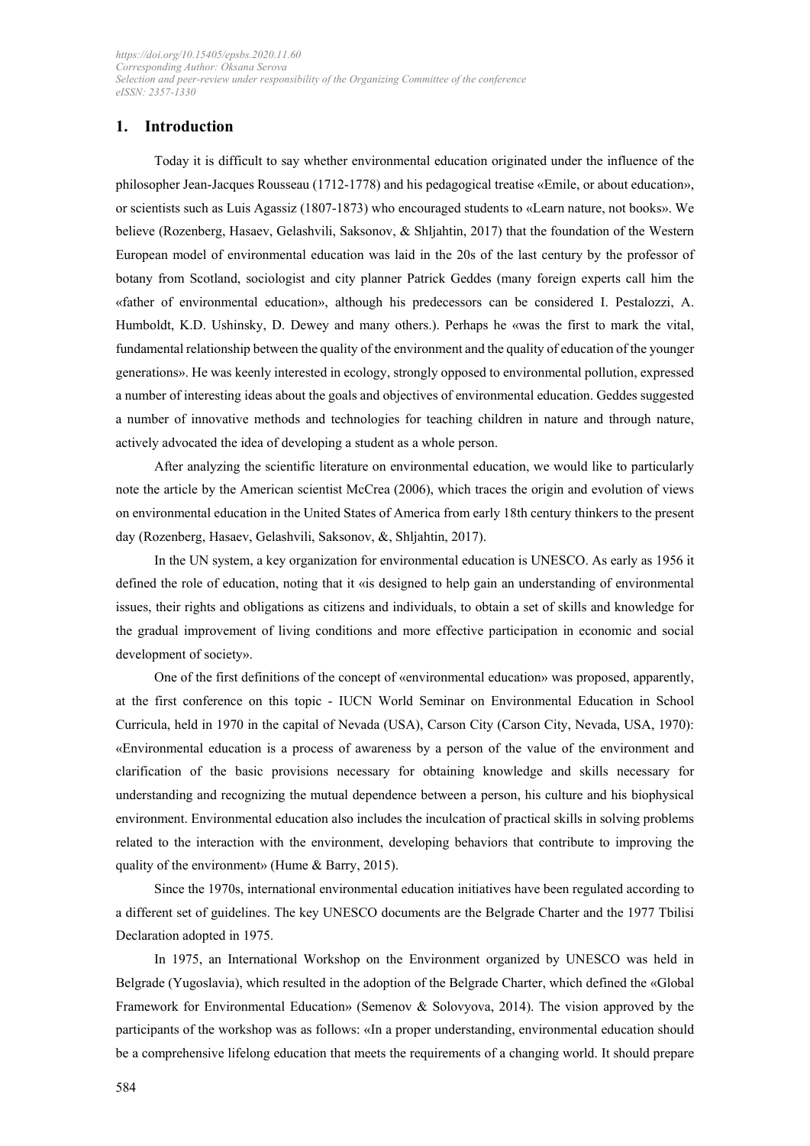# **1. Introduction**

Today it is difficult to say whether environmental education originated under the influence of the philosopher Jean-Jacques Rousseau (1712-1778) and his pedagogical treatise «Emile, or about education», or scientists such as Luis Agassiz (1807-1873) who encouraged students to «Learn nature, not books». We believe (Rozenberg, Hasaev, Gelashvili, Saksonov, & Shljahtin, 2017) that the foundation of the Western European model of environmental education was laid in the 20s of the last century by the professor of botany from Scotland, sociologist and city planner Patrick Geddes (many foreign experts call him the «father of environmental education», although his predecessors can be considered I. Pestalozzi, A. Humboldt, K.D. Ushinsky, D. Dewey and many others.). Perhaps he «was the first to mark the vital, fundamental relationship between the quality of the environment and the quality of education of the younger generations». He was keenly interested in ecology, strongly opposed to environmental pollution, expressed a number of interesting ideas about the goals and objectives of environmental education. Geddes suggested a number of innovative methods and technologies for teaching children in nature and through nature, actively advocated the idea of developing a student as a whole person.

After analyzing the scientific literature on environmental education, we would like to particularly note the article by the American scientist McCrea (2006), which traces the origin and evolution of views on environmental education in the United States of America from early 18th century thinkers to the present day (Rozenberg, Hasaev, Gelashvili, Saksonov, &, Shljahtin, 2017).

In the UN system, a key organization for environmental education is UNESCO. As early as 1956 it defined the role of education, noting that it «is designed to help gain an understanding of environmental issues, their rights and obligations as citizens and individuals, to obtain a set of skills and knowledge for the gradual improvement of living conditions and more effective participation in economic and social development of society».

One of the first definitions of the concept of «environmental education» was proposed, apparently, at the first conference on this topic - IUCN World Seminar on Environmental Education in School Curricula, held in 1970 in the capital of Nevada (USA), Carson City (Carson City, Nevada, USA, 1970): «Environmental education is a process of awareness by a person of the value of the environment and clarification of the basic provisions necessary for obtaining knowledge and skills necessary for understanding and recognizing the mutual dependence between a person, his culture and his biophysical environment. Environmental education also includes the inculcation of practical skills in solving problems related to the interaction with the environment, developing behaviors that contribute to improving the quality of the environment» (Hume & Barry, 2015).

Since the 1970s, international environmental education initiatives have been regulated according to a different set of guidelines. The key UNESCO documents are the Belgrade Charter and the 1977 Tbilisi Declaration adopted in 1975.

In 1975, an International Workshop on the Environment organized by UNESCO was held in Belgrade (Yugoslavia), which resulted in the adoption of the Belgrade Charter, which defined the «Global Framework for Environmental Education» (Semenov & Solovyova, 2014). The vision approved by the participants of the workshop was as follows: «In a proper understanding, environmental education should be a comprehensive lifelong education that meets the requirements of a changing world. It should prepare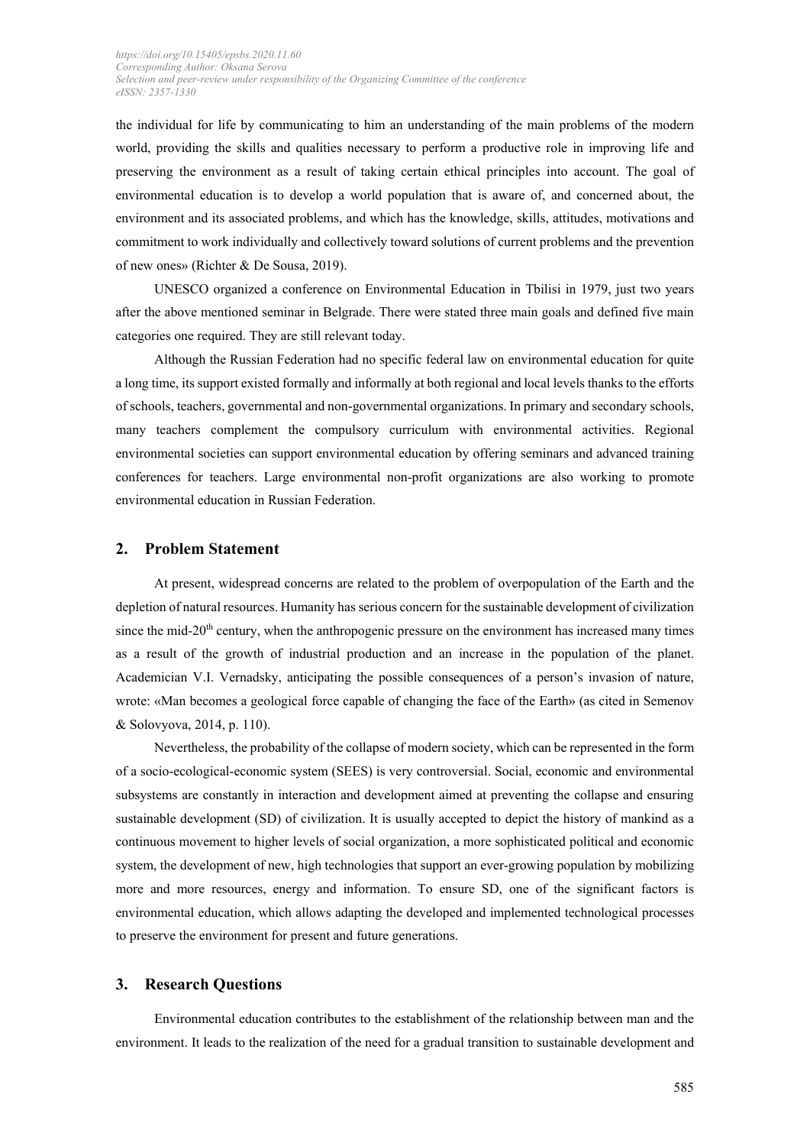the individual for life by communicating to him an understanding of the main problems of the modern world, providing the skills and qualities necessary to perform a productive role in improving life and preserving the environment as a result of taking certain ethical principles into account. The goal of environmental education is to develop a world population that is aware of, and concerned about, the environment and its associated problems, and which has the knowledge, skills, attitudes, motivations and commitment to work individually and collectively toward solutions of current problems and the prevention of new ones» (Richter & De Sousa, 2019).

UNESCO organized a conference on Environmental Education in Tbilisi in 1979, just two years after the above mentioned seminar in Belgrade. There were stated three main goals and defined five main categories one required. They are still relevant today.

Although the Russian Federation had no specific federal law on environmental education for quite a long time, its support existed formally and informally at both regional and local levels thanks to the efforts of schools, teachers, governmental and non-governmental organizations. In primary and secondary schools, many teachers complement the compulsory curriculum with environmental activities. Regional environmental societies can support environmental education by offering seminars and advanced training conferences for teachers. Large environmental non-profit organizations are also working to promote environmental education in Russian Federation.

#### **2. Problem Statement**

At present, widespread concerns are related to the problem of overpopulation of the Earth and the depletion of natural resources. Humanity has serious concern for the sustainable development of civilization since the mid- $20<sup>th</sup>$  century, when the anthropogenic pressure on the environment has increased many times as a result of the growth of industrial production and an increase in the population of the planet. Academician V.I. Vernadsky, anticipating the possible consequences of a person's invasion of nature, wrote: «Man becomes a geological force capable of changing the face of the Earth» (as cited in Semenov & Solovyova, 2014, p. 110).

Nevertheless, the probability of the collapse of modern society, which can be represented in the form of a socio-ecological-economic system (SEES) is very controversial. Social, economic and environmental subsystems are constantly in interaction and development aimed at preventing the collapse and ensuring sustainable development (SD) of civilization. It is usually accepted to depict the history of mankind as a continuous movement to higher levels of social organization, a more sophisticated political and economic system, the development of new, high technologies that support an ever-growing population by mobilizing more and more resources, energy and information. To ensure SD, one of the significant factors is environmental education, which allows adapting the developed and implemented technological processes to preserve the environment for present and future generations.

#### **3. Research Questions**

Environmental education contributes to the establishment of the relationship between man and the environment. It leads to the realization of the need for a gradual transition to sustainable development and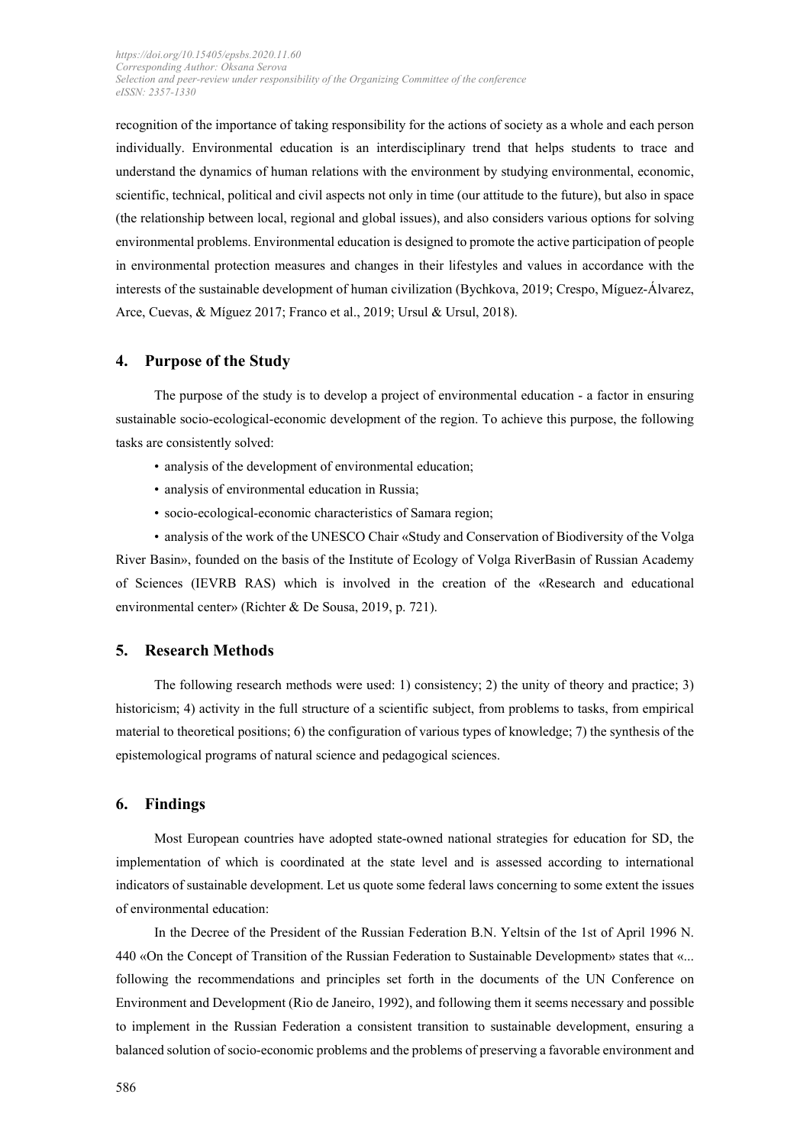recognition of the importance of taking responsibility for the actions of society as a whole and each person individually. Environmental education is an interdisciplinary trend that helps students to trace and understand the dynamics of human relations with the environment by studying environmental, economic, scientific, technical, political and civil aspects not only in time (our attitude to the future), but also in space (the relationship between local, regional and global issues), and also considers various options for solving environmental problems. Environmental education is designed to promote the active participation of people in environmental protection measures and changes in their lifestyles and values in accordance with the interests of the sustainable development of human civilization [\(Bychkova, 2](https://apps.webofknowledge.com/DaisyOneClickSearch.do?product=WOS&search_mode=DaisyOneClickSearch&colName=WOS&SID=F4e5VKxofHTTRFSplwG&author_name=Bychkova,%20Elena&dais_id=2939918&excludeEventConfig=ExcludeIfFromFullRecPage)019; Crespo, Míguez-Álvarez, Arce, Cuevas, & Míguez 2017; Franco et al., 2019; Ursul & Ursul, 2018).

#### **4. Purpose of the Study**

The purpose of the study is to develop a project of environmental education - a factor in ensuring sustainable socio-ecological-economic development of the region. To achieve this purpose, the following tasks are consistently solved:

- analysis of the development of environmental education;
- analysis of environmental education in Russia;
- socio-ecological-economic characteristics of Samara region;

• analysis of the work of the UNESCO Chair «Study and Conservation of Biodiversity of the Volga River Basin», founded on the basis of the Institute of Ecology of Volga RiverBasin of Russian Academy of Sciences (IEVRB RAS) which is involved in the creation of the «Research and educational environmental center» (Richter & De Sousa, 2019, p. 721).

### **5. Research Methods**

The following research methods were used: 1) consistency; 2) the unity of theory and practice; 3) historicism; 4) activity in the full structure of a scientific subject, from problems to tasks, from empirical material to theoretical positions; 6) the configuration of various types of knowledge; 7) the synthesis of the epistemological programs of natural science and pedagogical sciences.

#### **6. Findings**

Most European countries have adopted state-owned national strategies for education for SD, the implementation of which is coordinated at the state level and is assessed according to international indicators of sustainable development. Let us quote some federal laws concerning to some extent the issues of environmental education:

In the Decree of the President of the Russian Federation B.N. Yeltsin of the 1st of April 1996 N. 440 «On the Concept of Transition of the Russian Federation to Sustainable Development» states that «... following the recommendations and principles set forth in the documents of the UN Conference on Environment and Development (Rio de Janeiro, 1992), and following them it seems necessary and possible to implement in the Russian Federation a consistent transition to sustainable development, ensuring a balanced solution of socio-economic problems and the problems of preserving a favorable environment and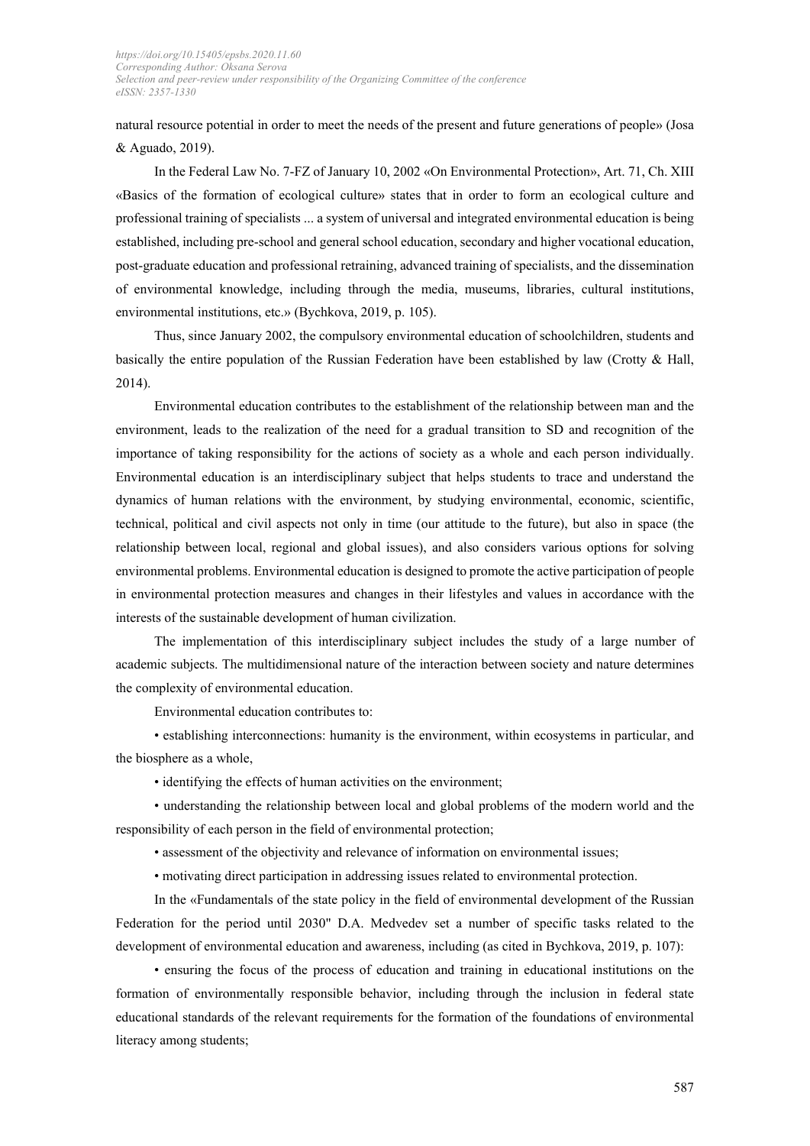natural resource potential in order to meet the needs of the present and future generations of people» (Josa & Aguado, 2019).

In the Federal Law No. 7-FZ of January 10, 2002 «On Environmental Protection», Art. 71, Ch. XIII «Basics of the formation of ecological culture» states that in order to form an ecological culture and professional training of specialists ... a system of universal and integrated environmental education is being established, including pre-school and general school education, secondary and higher vocational education, post-graduate education and professional retraining, advanced training of specialists, and the dissemination of environmental knowledge, including through the media, museums, libraries, cultural institutions, environmental institutions, etc.» (Bychkova, 2019, p. 105).

Thus, since January 2002, the compulsory environmental education of schoolchildren, students and basically the entire population of the Russian Federation have been established by law (Crotty & Hall, 2014).

Environmental education contributes to the establishment of the relationship between man and the environment, leads to the realization of the need for a gradual transition to SD and recognition of the importance of taking responsibility for the actions of society as a whole and each person individually. Environmental education is an interdisciplinary subject that helps students to trace and understand the dynamics of human relations with the environment, by studying environmental, economic, scientific, technical, political and civil aspects not only in time (our attitude to the future), but also in space (the relationship between local, regional and global issues), and also considers various options for solving environmental problems. Environmental education is designed to promote the active participation of people in environmental protection measures and changes in their lifestyles and values in accordance with the interests of the sustainable development of human civilization.

The implementation of this interdisciplinary subject includes the study of a large number of academic subjects. The multidimensional nature of the interaction between society and nature determines the complexity of environmental education.

Environmental education contributes to:

• establishing interconnections: humanity is the environment, within ecosystems in particular, and the biosphere as a whole,

• identifying the effects of human activities on the environment;

• understanding the relationship between local and global problems of the modern world and the responsibility of each person in the field of environmental protection;

• assessment of the objectivity and relevance of information on environmental issues;

• motivating direct participation in addressing issues related to environmental protection.

In the «Fundamentals of the state policy in the field of environmental development of the Russian Federation for the period until 2030" D.A. Medvedev set a number of specific tasks related to the development of environmental education and awareness, including (as cited in Bychkova, 2019, p. 107):

• ensuring the focus of the process of education and training in educational institutions on the formation of environmentally responsible behavior, including through the inclusion in federal state educational standards of the relevant requirements for the formation of the foundations of environmental literacy among students;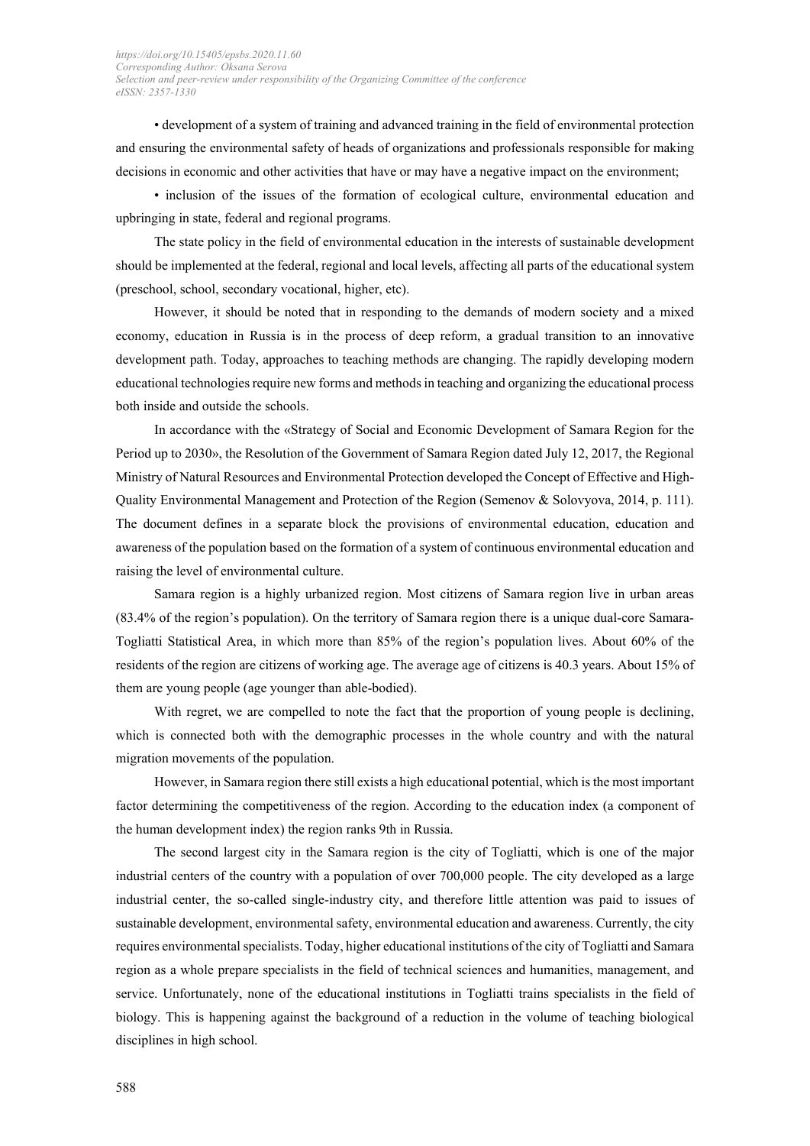• development of a system of training and advanced training in the field of environmental protection and ensuring the environmental safety of heads of organizations and professionals responsible for making decisions in economic and other activities that have or may have a negative impact on the environment;

• inclusion of the issues of the formation of ecological culture, environmental education and upbringing in state, federal and regional programs.

The state policy in the field of environmental education in the interests of sustainable development should be implemented at the federal, regional and local levels, affecting all parts of the educational system (preschool, school, secondary vocational, higher, etc).

However, it should be noted that in responding to the demands of modern society and a mixed economy, education in Russia is in the process of deep reform, a gradual transition to an innovative development path. Today, approaches to teaching methods are changing. The rapidly developing modern educational technologies require new forms and methods in teaching and organizing the educational process both inside and outside the schools.

In accordance with the «Strategy of Social and Economic Development of Samara Region for the Period up to 2030», the Resolution of the Government of Samara Region dated July 12, 2017, the Regional Ministry of Natural Resources and Environmental Protection developed the Concept of Effective and High-Quality Environmental Management and Protection of the Region (Semenov & Solovyova, 2014, p. 111). The document defines in a separate block the provisions of environmental education, education and awareness of the population based on the formation of a system of continuous environmental education and raising the level of environmental culture.

Samara region is a highly urbanized region. Most citizens of Samara region live in urban areas (83.4% of the region's population). On the territory of Samara region there is a unique dual-core Samara-Togliatti Statistical Area, in which more than 85% of the region's population lives. About 60% of the residents of the region are citizens of working age. The average age of citizens is 40.3 years. About 15% of them are young people (age younger than able-bodied).

With regret, we are compelled to note the fact that the proportion of young people is declining, which is connected both with the demographic processes in the whole country and with the natural migration movements of the population.

However, in Samara region there still exists a high educational potential, which is the most important factor determining the competitiveness of the region. According to the education index (a component of the human development index) the region ranks 9th in Russia.

The second largest city in the Samara region is the city of Togliatti, which is one of the major industrial centers of the country with a population of over 700,000 people. The city developed as a large industrial center, the so-called single-industry city, and therefore little attention was paid to issues of sustainable development, environmental safety, environmental education and awareness. Currently, the city requires environmental specialists. Today, higher educational institutions of the city of Togliatti and Samara region as a whole prepare specialists in the field of technical sciences and humanities, management, and service. Unfortunately, none of the educational institutions in Togliatti trains specialists in the field of biology. This is happening against the background of a reduction in the volume of teaching biological disciplines in high school.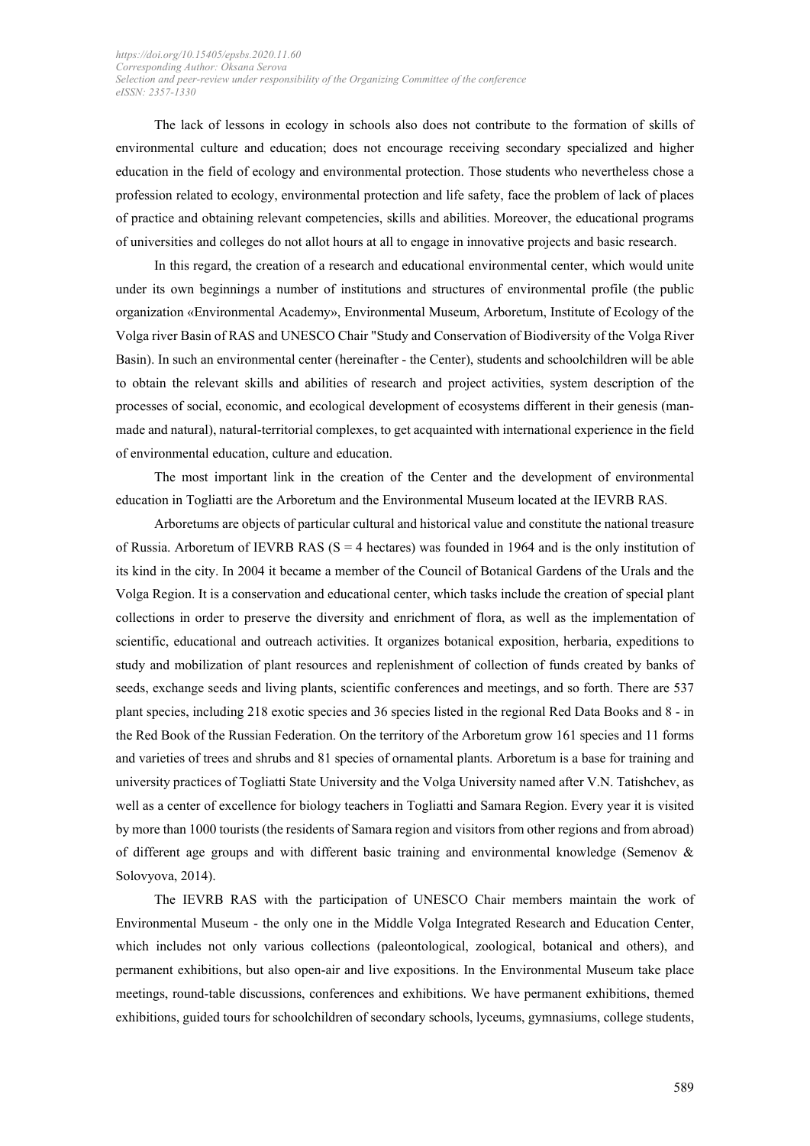The lack of lessons in ecology in schools also does not contribute to the formation of skills of environmental culture and education; does not encourage receiving secondary specialized and higher education in the field of ecology and environmental protection. Those students who nevertheless chose a profession related to ecology, environmental protection and life safety, face the problem of lack of places of practice and obtaining relevant competencies, skills and abilities. Moreover, the educational programs of universities and colleges do not allot hours at all to engage in innovative projects and basic research.

In this regard, the creation of a research and educational environmental center, which would unite under its own beginnings a number of institutions and structures of environmental profile (the public organization «Environmental Academy», Environmental Museum, Arboretum, Institute of Ecology of the Volga river Basin of RAS and UNESCO Chair "Study and Conservation of Biodiversity of the Volga River Basin). In such an environmental center (hereinafter - the Center), students and schoolchildren will be able to obtain the relevant skills and abilities of research and project activities, system description of the processes of social, economic, and ecological development of ecosystems different in their genesis (manmade and natural), natural-territorial complexes, to get acquainted with international experience in the field of environmental education, culture and education.

The most important link in the creation of the Center and the development of environmental education in Togliatti are the Arboretum and the Environmental Museum located at the IEVRB RAS.

Arboretums are objects of particular cultural and historical value and constitute the national treasure of Russia. Arboretum of IEVRB RAS ( $S = 4$  hectares) was founded in 1964 and is the only institution of its kind in the city. In 2004 it became a member of the Council of Botanical Gardens of the Urals and the Volga Region. It is a conservation and educational center, which tasks include the creation of special plant collections in order to preserve the diversity and enrichment of flora, as well as the implementation of scientific, educational and outreach activities. It organizes botanical exposition, herbaria, expeditions to study and mobilization of plant resources and replenishment of collection of funds created by banks of seeds, exchange seeds and living plants, scientific conferences and meetings, and so forth. There are 537 plant species, including 218 exotic species and 36 species listed in the regional Red Data Books and 8 - in the Red Book of the Russian Federation. On the territory of the Arboretum grow 161 species and 11 forms and varieties of trees and shrubs and 81 species of ornamental plants. Arboretum is a base for training and university practices of Togliatti State University and the Volga University named after V.N. Tatishchev, as well as a center of excellence for biology teachers in Togliatti and Samara Region. Every year it is visited by more than 1000 tourists (the residents of Samara region and visitors from other regions and from abroad) of different age groups and with different basic training and environmental knowledge (Semenov & Solovyova, 2014).

The IEVRB RAS with the participation of UNESCO Chair members maintain the work of Environmental Museum - the only one in the Middle Volga Integrated Research and Education Center, which includes not only various collections (paleontological, zoological, botanical and others), and permanent exhibitions, but also open-air and live expositions. In the Environmental Museum take place meetings, round-table discussions, conferences and exhibitions. We have permanent exhibitions, themed exhibitions, guided tours for schoolchildren of secondary schools, lyceums, gymnasiums, college students,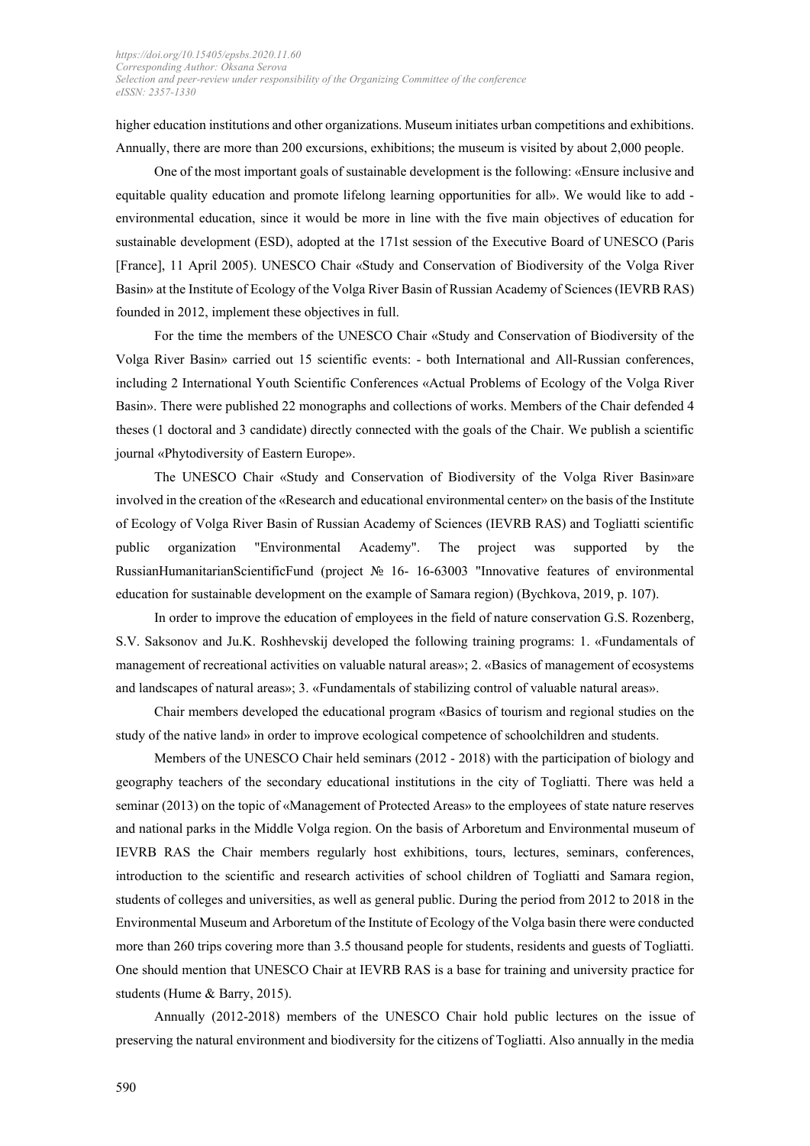higher education institutions and other organizations. Museum initiates urban competitions and exhibitions. Annually, there are more than 200 excursions, exhibitions; the museum is visited by about 2,000 people.

One of the most important goals of sustainable development is the following: «Ensure inclusive and equitable quality education and promote lifelong learning opportunities for all». We would like to add environmental education, since it would be more in line with the five main objectives of education for sustainable development (ESD), adopted at the 171st session of the Executive Board of UNESCO (Paris [France], 11 April 2005). UNESCO Chair «Study and Conservation of Biodiversity of the Volga River Basin» at the Institute of Ecology of the Volga River Basin of Russian Academy of Sciences (IEVRB RAS) founded in 2012, implement these objectives in full.

For the time the members of the UNESCO Chair «Study and Conservation of Biodiversity of the Volga River Basin» carried out 15 scientific events: - both International and All-Russian conferences, including 2 International Youth Scientific Conferences «Actual Problems of Ecology of the Volga River Basin». There were published 22 monographs and collections of works. Members of the Chair defended 4 theses (1 doctoral and 3 candidate) directly connected with the goals of the Chair. We publish a scientific journal «Phytodiversity of Eastern Europe».

The UNESCO Chair «Study and Conservation of Biodiversity of the Volga River Basin»are involved in the creation of the «Research and educational environmental center» on the basis of the Institute of Ecology of Volga River Basin of Russian Academy of Sciences (IEVRB RAS) and Togliatti scientific public organization "Environmental Academy". The project was supported by the RussianHumanitarianScientificFund (project № 16- 16-63003 "Innovative features of environmental education for sustainable development on the example of Samara region) (Bychkova, 2019, p. 107).

In order to improve the education of employees in the field of nature conservation G.S. Rozenberg, S.V. Saksonov and Ju.K. Roshhevskij developed the following training programs: 1. «Fundamentals of management of recreational activities on valuable natural areas»; 2. «Basics of management of ecosystems and landscapes of natural areas»; 3. «Fundamentals of stabilizing control of valuable natural areas».

Chair members developed the educational program «Basics of tourism and regional studies on the study of the native land» in order to improve ecological competence of schoolchildren and students.

Members of the UNESCO Chair held seminars (2012 - 2018) with the participation of biology and geography teachers of the secondary educational institutions in the city of Togliatti. There was held a seminar (2013) on the topic of «Management of Protected Areas» to the employees of state nature reserves and national parks in the Middle Volga region. On the basis of Arboretum and Environmental museum of IEVRB RAS the Chair members regularly host exhibitions, tours, lectures, seminars, conferences, introduction to the scientific and research activities of school children of Togliatti and Samara region, students of colleges and universities, as well as general public. During the period from 2012 to 2018 in the Environmental Museum and Arboretum of the Institute of Ecology of the Volga basin there were conducted more than 260 trips covering more than 3.5 thousand people for students, residents and guests of Togliatti. One should mention that UNESCO Chair at IEVRB RAS is a base for training and university practice for students (Hume & Barry, 2015).

Annually (2012-2018) members of the UNESCO Chair hold public lectures on the issue of preserving the natural environment and biodiversity for the citizens of Togliatti. Also annually in the media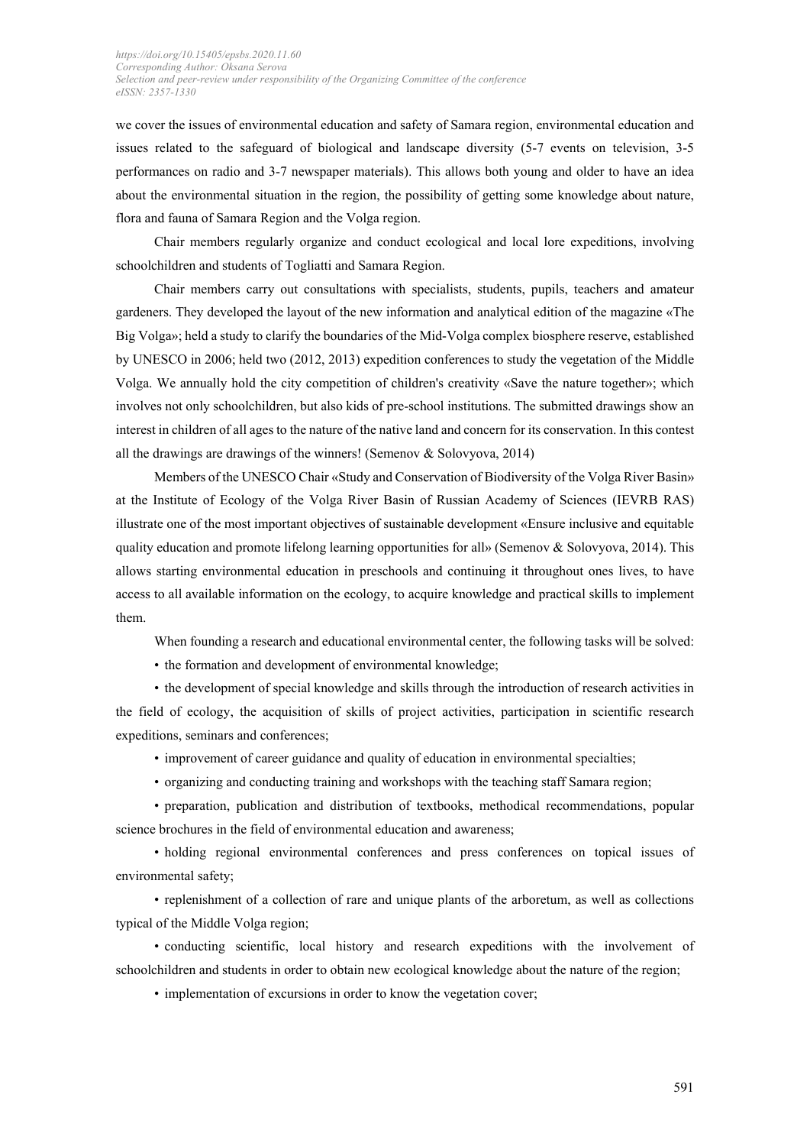we cover the issues of environmental education and safety of Samara region, environmental education and issues related to the safeguard of biological and landscape diversity (5-7 events on television, 3-5 performances on radio and 3-7 newspaper materials). This allows both young and older to have an idea about the environmental situation in the region, the possibility of getting some knowledge about nature, flora and fauna of Samara Region and the Volga region.

Chair members regularly organize and conduct ecological and local lore expeditions, involving schoolchildren and students of Togliatti and Samara Region.

Chair members carry out consultations with specialists, students, pupils, teachers and amateur gardeners. They developed the layout of the new information and analytical edition of the magazine «The Big Volga»; held a study to clarify the boundaries of the Mid-Volga complex biosphere reserve, established by UNESCO in 2006; held two (2012, 2013) expedition conferences to study the vegetation of the Middle Volga. We annually hold the city competition of children's creativity «Save the nature together»; which involves not only schoolchildren, but also kids of pre-school institutions. The submitted drawings show an interest in children of all ages to the nature of the native land and concern for its conservation. In this contest all the drawings are drawings of the winners! (Semenov  $&$  Solovyova, 2014)

Members of the UNESCO Chair «Study and Conservation of Biodiversity of the Volga River Basin» at the Institute of Ecology of the Volga River Basin of Russian Academy of Sciences (IEVRB RAS) illustrate one of the most important objectives of sustainable development «Ensure inclusive and equitable quality education and promote lifelong learning opportunities for all» (Semenov & Solovyova, 2014). This allows starting environmental education in preschools and continuing it throughout ones lives, to have access to all available information on the ecology, to acquire knowledge and practical skills to implement them.

When founding a research and educational environmental center, the following tasks will be solved:

• the formation and development of environmental knowledge;

• the development of special knowledge and skills through the introduction of research activities in the field of ecology, the acquisition of skills of project activities, participation in scientific research expeditions, seminars and conferences;

• improvement of career guidance and quality of education in environmental specialties;

• organizing and conducting training and workshops with the teaching staff Samara region;

• preparation, publication and distribution of textbooks, methodical recommendations, popular science brochures in the field of environmental education and awareness;

• holding regional environmental conferences and press conferences on topical issues of environmental safety;

• replenishment of a collection of rare and unique plants of the arboretum, as well as collections typical of the Middle Volga region;

• conducting scientific, local history and research expeditions with the involvement of schoolchildren and students in order to obtain new ecological knowledge about the nature of the region;

• implementation of excursions in order to know the vegetation cover;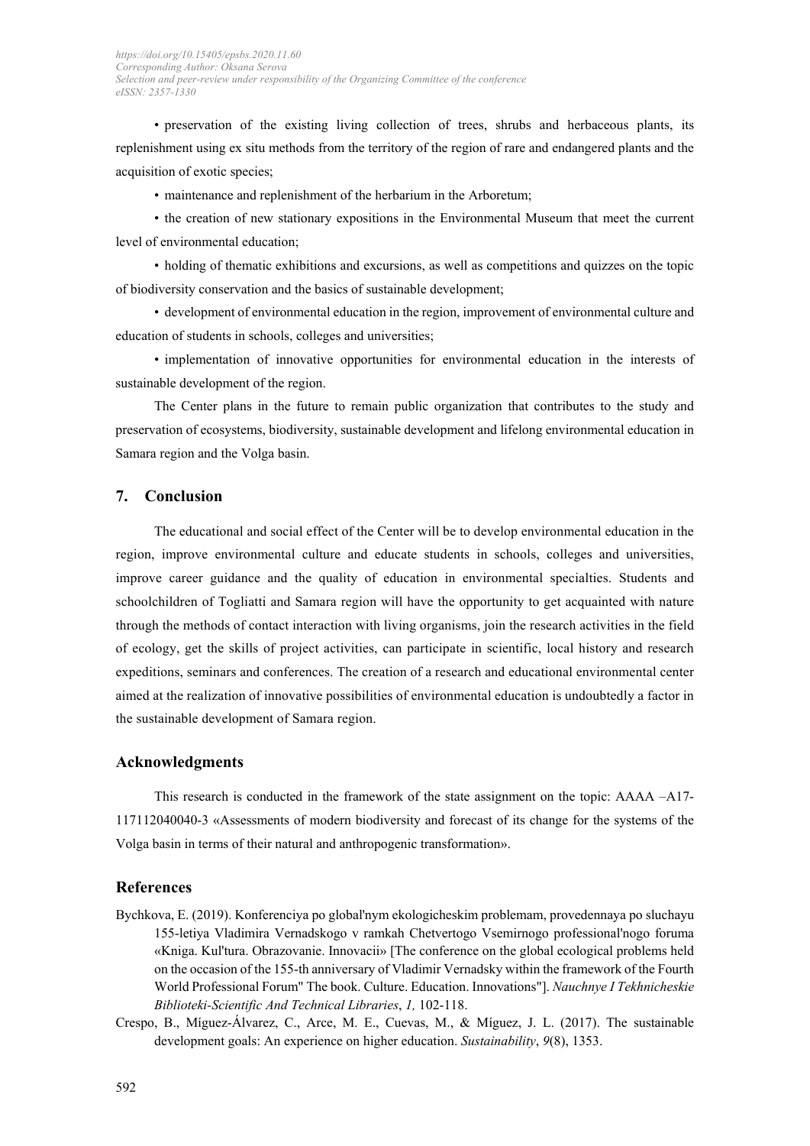• preservation of the existing living collection of trees, shrubs and herbaceous plants, its replenishment using ex situ methods from the territory of the region of rare and endangered plants and the acquisition of exotic species;

• maintenance and replenishment of the herbarium in the Arboretum;

• the creation of new stationary expositions in the Environmental Museum that meet the current level of environmental education;

• holding of thematic exhibitions and excursions, as well as competitions and quizzes on the topic of biodiversity conservation and the basics of sustainable development;

• development of environmental education in the region, improvement of environmental culture and education of students in schools, colleges and universities;

• implementation of innovative opportunities for environmental education in the interests of sustainable development of the region.

The Center plans in the future to remain public organization that contributes to the study and preservation of ecosystems, biodiversity, sustainable development and lifelong environmental education in Samara region and the Volga basin.

#### **7. Conclusion**

The educational and social effect of the Center will be to develop environmental education in the region, improve environmental culture and educate students in schools, colleges and universities, improve career guidance and the quality of education in environmental specialties. Students and schoolchildren of Togliatti and Samara region will have the opportunity to get acquainted with nature through the methods of contact interaction with living organisms, join the research activities in the field of ecology, get the skills of project activities, can participate in scientific, local history and research expeditions, seminars and conferences. The creation of a research and educational environmental center aimed at the realization of innovative possibilities of environmental education is undoubtedly a factor in the sustainable development of Samara region.

#### **Acknowledgments**

This research is conducted in the framework of the state assignment on the topic: AAAA –A17- 117112040040-3 «Assessments of modern biodiversity and forecast of its change for the systems of the Volga basin in terms of their natural and anthropogenic transformation».

#### **References**

- Bychkova, E. (2019). Konferenciya po global'nym ekologicheskim problemam, provedennaya po sluchayu 155-letiya Vladimira Vernadskogo v ramkah Chetvertogo Vsemirnogo professional'nogo foruma «Kniga. Kul'tura. Obrazovanie. Innovacii» [The conference on the global ecological problems held on the occasion of the 155-th anniversary of Vladimir Vernadsky within the framework of the Fourth World Professional Forum" The book. Culture. Education. Innovations"]. *Nauchnye I Tekhnicheskie Biblioteki-Scientific And Technical Libraries*, *1,* 102-118.
- Crespo, B., Míguez-Álvarez, C., Arce, M. E., Cuevas, M., & Míguez, J. L. (2017). The sustainable development goals: An experience on higher education. *Sustainability*, *9*(8), 1353.